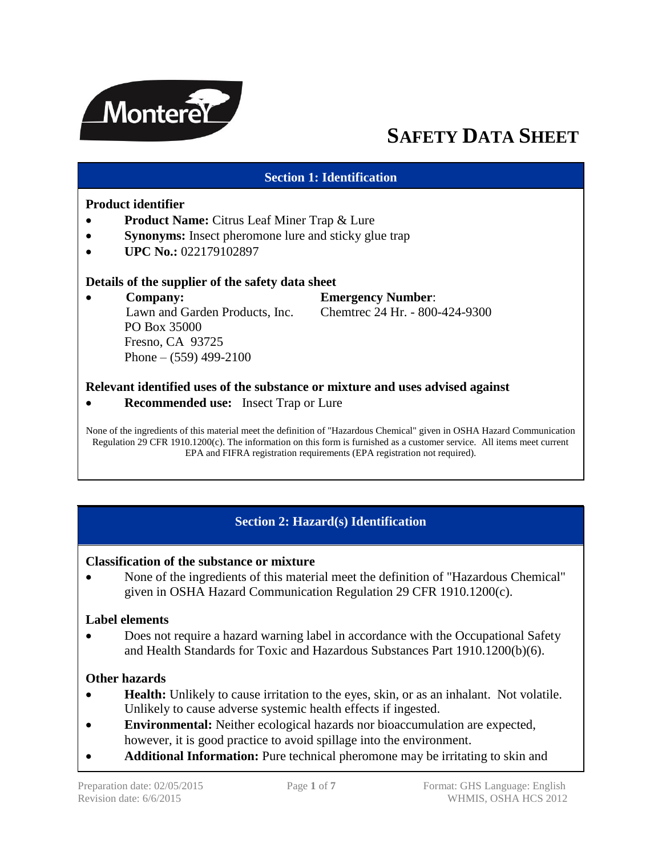

# **SAFETY DATA SHEET**

#### **Section 1: Identification**

#### **Product identifier**

- **Product Name:** Citrus Leaf Miner Trap & Lure
- **Synonyms:** Insect pheromone lure and sticky glue trap
- **UPC No.: 022179102897**

#### **Details of the supplier of the safety data sheet**

 **Company: Emergency Number**: Lawn and Garden Products, Inc. Chemtrec 24 Hr. - 800-424-9300 PO Box 35000 Fresno, CA 93725 Phone –  $(559)$  499-2100

#### **Relevant identified uses of the substance or mixture and uses advised against**

**Recommended use:** Insect Trap or Lure

None of the ingredients of this material meet the definition of "Hazardous Chemical" given in OSHA Hazard Communication Regulation 29 CFR 1910.1200(c). The information on this form is furnished as a customer service. All items meet current EPA and FIFRA registration requirements (EPA registration not required).

# **Section 2: Hazard(s) Identification**

#### **Classification of the substance or mixture**

 None of the ingredients of this material meet the definition of "Hazardous Chemical" given in OSHA Hazard Communication Regulation 29 CFR 1910.1200(c).

#### **Label elements**

 Does not require a hazard warning label in accordance with the Occupational Safety and Health Standards for Toxic and Hazardous Substances Part 1910.1200(b)(6).

#### **Other hazards**

- **Health:** Unlikely to cause irritation to the eyes, skin, or as an inhalant. Not volatile. Unlikely to cause adverse systemic health effects if ingested.
- **Environmental:** Neither ecological hazards nor bioaccumulation are expected, however, it is good practice to avoid spillage into the environment.
- **Additional Information:** Pure technical pheromone may be irritating to skin and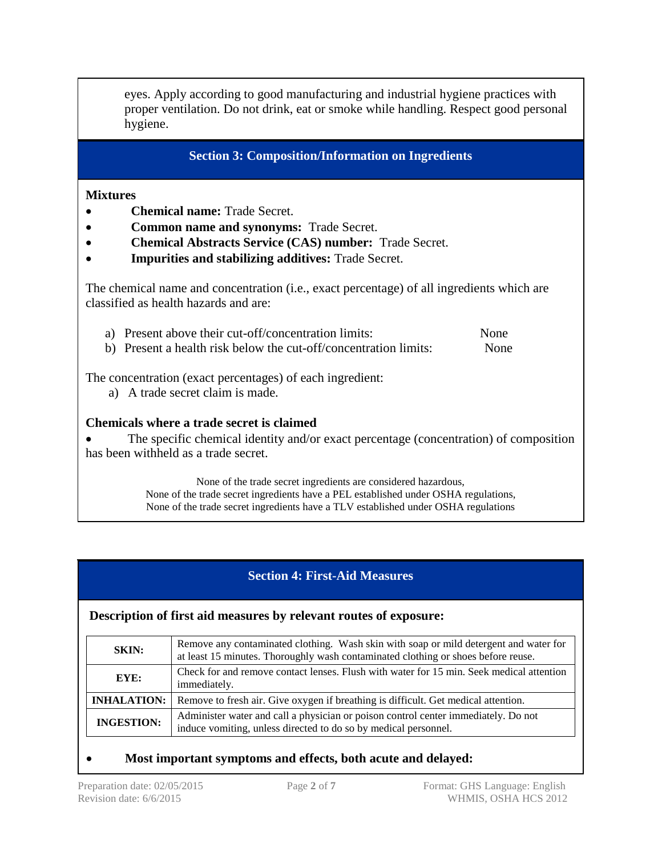eyes. Apply according to good manufacturing and industrial hygiene practices with proper ventilation. Do not drink, eat or smoke while handling. Respect good personal hygiene.

**Section 3: Composition/Information on Ingredients**

#### **Mixtures**

- **Chemical name:** Trade Secret.
- **Common name and synonyms:** Trade Secret.
- **Chemical Abstracts Service (CAS) number:** Trade Secret.
- **Impurities and stabilizing additives:** Trade Secret.

The chemical name and concentration (i.e., exact percentage) of all ingredients which are classified as health hazards and are:

- a) Present above their cut-off/concentration limits: None
- b) Present a health risk below the cut-off/concentration limits: None

The concentration (exact percentages) of each ingredient:

a) A trade secret claim is made.

#### **Chemicals where a trade secret is claimed**

• The specific chemical identity and/or exact percentage (concentration) of composition has been withheld as a trade secret.

> None of the trade secret ingredients are considered hazardous, None of the trade secret ingredients have a PEL established under OSHA regulations, None of the trade secret ingredients have a TLV established under OSHA regulations

# **Section 4: First-Aid Measures**

#### **Description of first aid measures by relevant routes of exposure:**

| <b>SKIN:</b>       | Remove any contaminated clothing. Wash skin with soap or mild detergent and water for<br>at least 15 minutes. Thoroughly wash contaminated clothing or shoes before reuse. |  |  |  |
|--------------------|----------------------------------------------------------------------------------------------------------------------------------------------------------------------------|--|--|--|
| EYE:               | Check for and remove contact lenses. Flush with water for 15 min. Seek medical attention<br>immediately.                                                                   |  |  |  |
| <b>INHALATION:</b> | Remove to fresh air. Give oxygen if breathing is difficult. Get medical attention.                                                                                         |  |  |  |
| <b>INGESTION:</b>  | Administer water and call a physician or poison control center immediately. Do not<br>induce vomiting, unless directed to do so by medical personnel.                      |  |  |  |

## **Most important symptoms and effects, both acute and delayed:**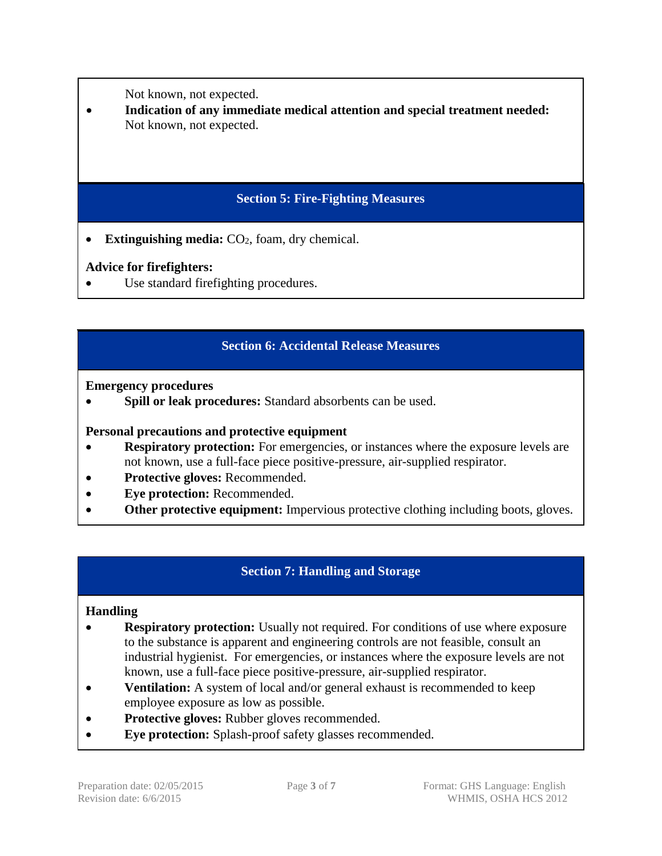Not known, not expected.

 **Indication of any immediate medical attention and special treatment needed:**  Not known, not expected.

# **Section 5: Fire-Fighting Measures**

• **Extinguishing media:**  $CO<sub>2</sub>$ , foam, dry chemical.

# **Advice for firefighters:**

Use standard firefighting procedures.

# **Section 6: Accidental Release Measures**

**Emergency procedures**

**Spill or leak procedures:** Standard absorbents can be used.

## **Personal precautions and protective equipment**

- **Respiratory protection:** For emergencies, or instances where the exposure levels are not known, use a full-face piece positive-pressure, air-supplied respirator.
- **Protective gloves:** Recommended.
- **Eye protection:** Recommended.
- **Other protective equipment:** Impervious protective clothing including boots, gloves.

# **Section 7: Handling and Storage**

## **Handling**

- **Respiratory protection:** Usually not required. For conditions of use where exposure to the substance is apparent and engineering controls are not feasible, consult an industrial hygienist. For emergencies, or instances where the exposure levels are not known, use a full-face piece positive-pressure, air-supplied respirator.
- **Ventilation:** A system of local and/or general exhaust is recommended to keep employee exposure as low as possible.
- **Protective gloves:** Rubber gloves recommended.
- **Eye protection:** Splash-proof safety glasses recommended.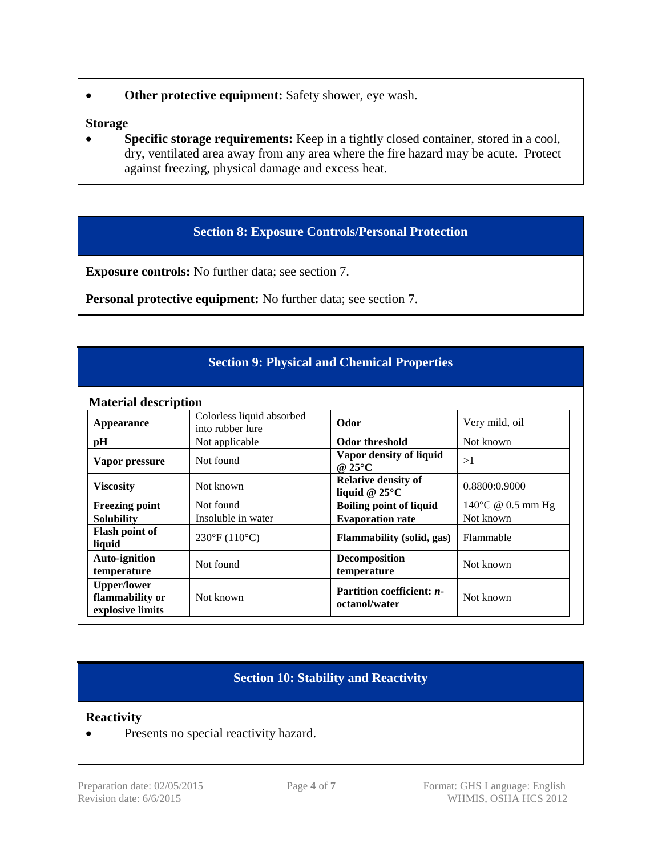**Other protective equipment:** Safety shower, eye wash.

#### **Storage**

• Specific storage requirements: Keep in a tightly closed container, stored in a cool, dry, ventilated area away from any area where the fire hazard may be acute. Protect against freezing, physical damage and excess heat.

## **Section 8: Exposure Controls/Personal Protection**

**Exposure controls:** No further data; see section 7.

**Personal protective equipment:** No further data; see section 7.

## **Section 9: Physical and Chemical Properties**

#### **Material description**

| <b>Material description</b>                               |                                               |                                                       |                             |  |  |
|-----------------------------------------------------------|-----------------------------------------------|-------------------------------------------------------|-----------------------------|--|--|
| <b>Appearance</b>                                         | Colorless liquid absorbed<br>into rubber lure | Odor                                                  | Very mild, oil              |  |  |
| pH                                                        | Not applicable                                | Odor threshold                                        | Not known                   |  |  |
| Vapor pressure                                            | Not found                                     | Vapor density of liquid<br>@ $25^{\circ}$ C           | >1                          |  |  |
| <b>Viscosity</b>                                          | Not known                                     | <b>Relative density of</b><br>liquid @ $25^{\circ}$ C | 0.8800:0.9000               |  |  |
| <b>Freezing point</b>                                     | Not found                                     | <b>Boiling point of liquid</b>                        | $140^{\circ}$ C @ 0.5 mm Hg |  |  |
| <b>Solubility</b>                                         | Insoluble in water                            | <b>Evaporation rate</b>                               | Not known                   |  |  |
| Flash point of<br>liquid                                  | $230^{\circ}F(110^{\circ}C)$                  | Flammability (solid, gas)                             | Flammable                   |  |  |
| <b>Auto-ignition</b><br>temperature                       | Not found                                     | Decomposition<br>temperature                          | Not known                   |  |  |
| <b>Upper/lower</b><br>flammability or<br>explosive limits | Not known                                     | Partition coefficient: n-<br>octanol/water            | Not known                   |  |  |

## **Section 10: Stability and Reactivity**

#### **Reactivity**

• Presents no special reactivity hazard.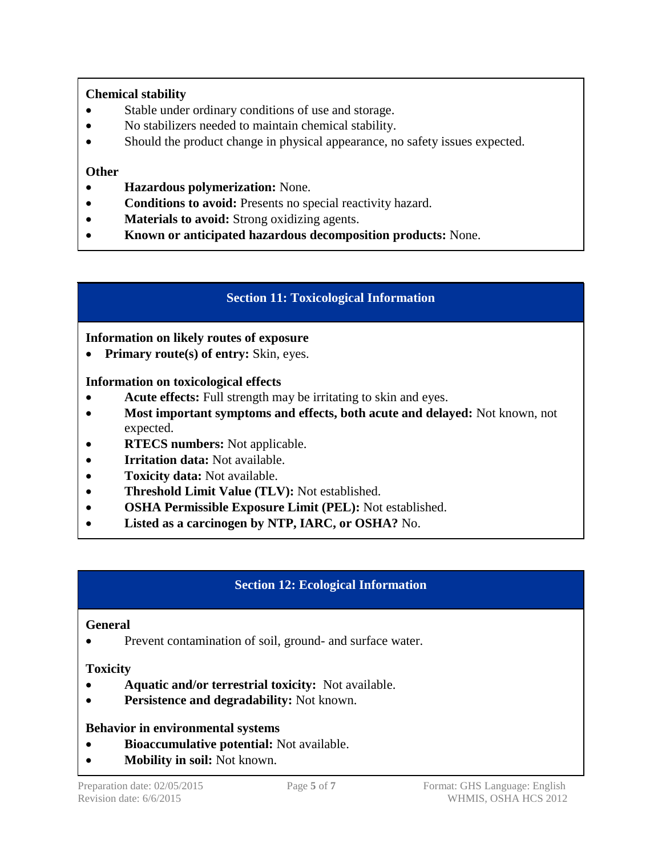# **Chemical stability**

- Stable under ordinary conditions of use and storage.
- No stabilizers needed to maintain chemical stability.
- Should the product change in physical appearance, no safety issues expected.

## **Other**

- **Hazardous polymerization:** None.
- **Conditions to avoid:** Presents no special reactivity hazard.
- **Materials to avoid:** Strong oxidizing agents.
- **Known or anticipated hazardous decomposition products:** None.

# **Section 11: Toxicological Information**

## **Information on likely routes of exposure**

• Primary route(s) of entry: Skin, eyes.

## **Information on toxicological effects**

- **Acute effects:** Full strength may be irritating to skin and eyes.
- **Most important symptoms and effects, both acute and delayed:** Not known, not expected.
- **RTECS numbers:** Not applicable.
- **Irritation data:** Not available.
- **Toxicity data:** Not available.
- **Threshold Limit Value (TLV):** Not established.
- **OSHA Permissible Exposure Limit (PEL):** Not established.
- **Listed as a carcinogen by NTP, IARC, or OSHA?** No.

# **Section 12: Ecological Information**

## **General**

• Prevent contamination of soil, ground- and surface water.

## **Toxicity**

- **Aquatic and/or terrestrial toxicity:** Not available.
- **Persistence and degradability:** Not known.

## **Behavior in environmental systems**

- **Bioaccumulative potential:** Not available.
- **Mobility in soil:** Not known.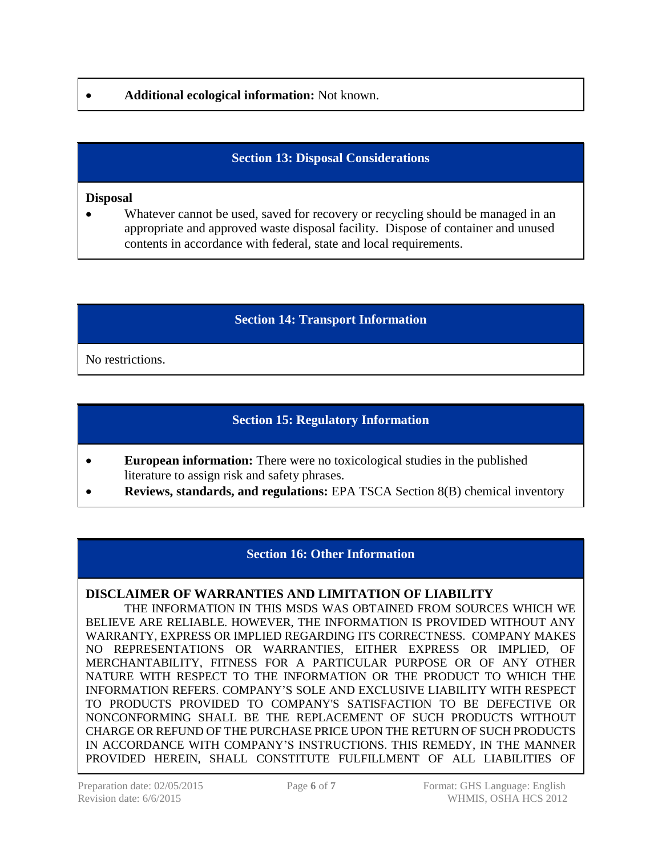## **Additional ecological information:** Not known.

# **Section 13: Disposal Considerations**

#### **Disposal**

 Whatever cannot be used, saved for recovery or recycling should be managed in an appropriate and approved waste disposal facility. Dispose of container and unused contents in accordance with federal, state and local requirements.

## **Section 14: Transport Information**

No restrictions.

# **Section 15: Regulatory Information**

- **European information:** There were no toxicological studies in the published literature to assign risk and safety phrases.
- **Reviews, standards, and regulations:** EPA TSCA Section 8(B) chemical inventory

## **Section 16: Other Information**

#### **DISCLAIMER OF WARRANTIES AND LIMITATION OF LIABILITY**

THE INFORMATION IN THIS MSDS WAS OBTAINED FROM SOURCES WHICH WE BELIEVE ARE RELIABLE. HOWEVER, THE INFORMATION IS PROVIDED WITHOUT ANY WARRANTY, EXPRESS OR IMPLIED REGARDING ITS CORRECTNESS. COMPANY MAKES NO REPRESENTATIONS OR WARRANTIES, EITHER EXPRESS OR IMPLIED, OF MERCHANTABILITY, FITNESS FOR A PARTICULAR PURPOSE OR OF ANY OTHER NATURE WITH RESPECT TO THE INFORMATION OR THE PRODUCT TO WHICH THE INFORMATION REFERS. COMPANY'S SOLE AND EXCLUSIVE LIABILITY WITH RESPECT TO PRODUCTS PROVIDED TO COMPANY'S SATISFACTION TO BE DEFECTIVE OR NONCONFORMING SHALL BE THE REPLACEMENT OF SUCH PRODUCTS WITHOUT CHARGE OR REFUND OF THE PURCHASE PRICE UPON THE RETURN OF SUCH PRODUCTS IN ACCORDANCE WITH COMPANY'S INSTRUCTIONS. THIS REMEDY, IN THE MANNER PROVIDED HEREIN, SHALL CONSTITUTE FULFILLMENT OF ALL LIABILITIES OF